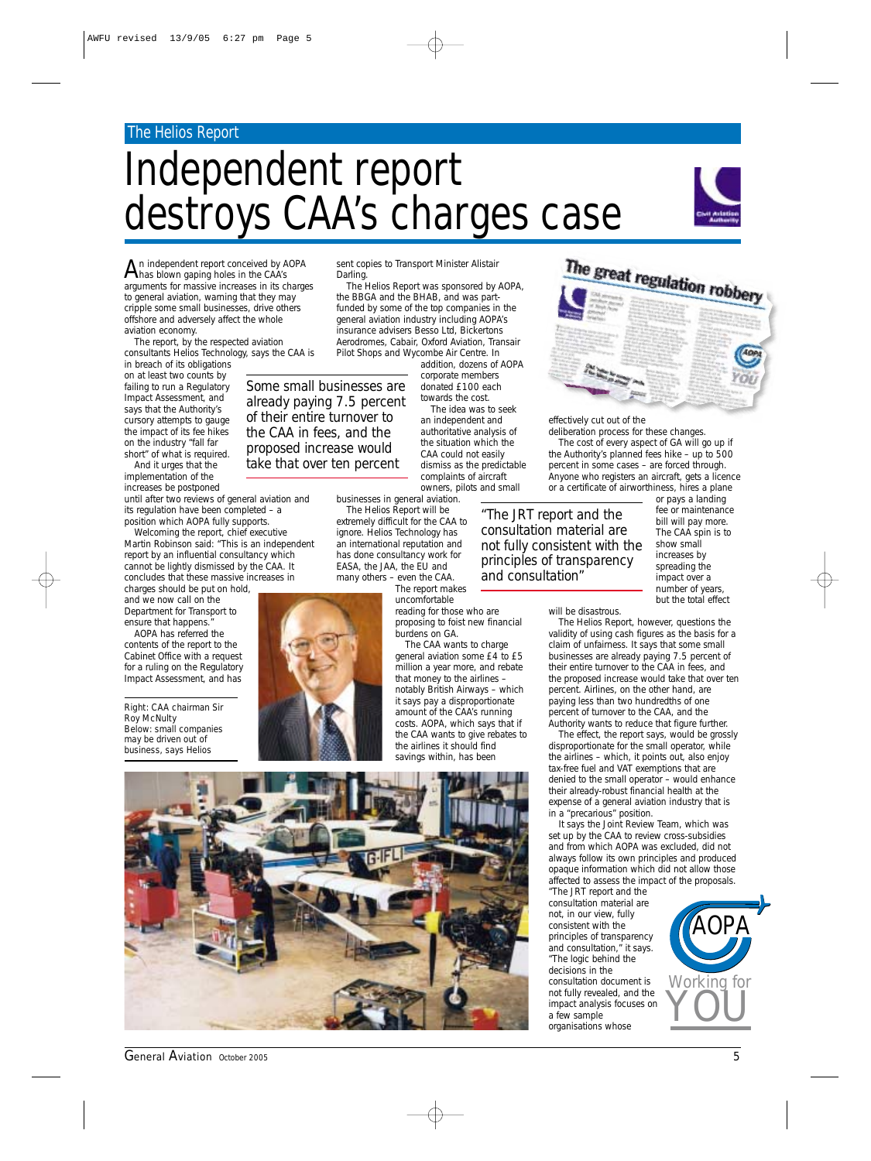#### The Helios Report

## Independent report destroys CAA's charges case



 $A$ n independent report conceived by AOPA<br>has blown gaping holes in the CAA's arguments for massive increases in its charges to general aviation, warning that they may cripple some small businesses, drive others offshore and adversely affect the whole aviation economy.

The report, by the respected aviation consultants Helios Technology, says the CAA is

in breach of its obligations on at least two counts by failing to run a Regulatory Impact Assessment, and says that the Authority's cursory attempts to gauge the impact of its fee hikes on the industry "fall far short" of what is required. And it urges that the

implementation of the increases be postponed

until after two reviews of general aviation and its regulation have been completed – a position which AOPA fully supports.

Welcoming the report, chief executive Martin Robinson said: "This is an independent report by an influential consultancy which cannot be lightly dismissed by the CAA. It concludes that these massive increases in

charges should be put on hold, and we now call on the Department for Transport to ensure that happens."

AOPA has referred the contents of the report to the Cabinet Office with a request for a ruling on the Regulatory Impact Assessment, and has

*Right: CAA chairman Sir Roy McNulty Below: small companies may be driven out of business, says Helios*

sent copies to Transport Minister Alistair Darling.

The Helios Report was sponsored by AOPA, the BBGA and the BHAB, and was partfunded by some of the top companies in the general aviation industry including AOPA's insurance advisers Besso Ltd, Bickertons Aerodromes, Cabair, Oxford Aviation, Transair Pilot Shops and Wycombe Air Centre. In

*Some small businesses are already paying 7.5 percent of their entire turnover to the CAA in fees, and the proposed increase would take that over ten percent*

addition, dozens of AOPA corporate members donated £100 each towards the cost.

The idea was to seek an independent and authoritative analysis of the situation which the CAA could not easily dismiss as the predictable complaints of aircraft owners, pilots and small

businesses in general aviation. The Helios Report will be extremely difficult for the CAA to ignore. Helios Technology has

an international reputation and has done consultancy work for EASA, the JAA, the EU and many others – even the CAA.



# The report makes

uncomfortable reading for those who are proposing to foist new financial burdens on GA.

The CAA wants to charge general aviation some £4 to £5 million a year more, and rebate that money to the airlines – notably British Airways – which it says pay a disproportionate amount of the CAA's running costs. AOPA, which says that if the CAA wants to give rebates to the airlines it should find savings within, has been



*General Aviation October 2005* 5

The great regulation robbery

effectively cut out of the

deliberation process for these changes. The cost of every aspect of GA will go up if the Authority's planned fees hike – up to 500 percent in some cases – are forced through. Anyone who registers an aircraft, gets a licence or a certificate of airworthiness, hires a plane

*"The JRT report and the consultation material are not fully consistent with the principles of transparency and consultation"*

increases by spreading the impact over a number of years, but the total effect

or pays a landing fee or maintenance bill will pay more. The CAA spin is to show small

will be disastrous.

The Helios Report, however, questions the validity of using cash figures as the basis for a claim of unfairness. It says that some small businesses are already paying 7.5 percent of their entire turnover to the CAA in fees, and the proposed increase would take that over ten percent. Airlines, on the other hand, are paying less than two hundredths of one percent of turnover to the CAA, and the Authority wants to reduce that figure further.

The effect, the report says, would be grossly disproportionate for the small operator, while the airlines – which, it points out, also enjoy tax-free fuel and VAT exemptions that are denied to the small operator – would enhance their already-robust financial health at the expense of a general aviation industry that is in a "precarious" position.

It says the Joint Review Team, which was set up by the CAA to review cross-subsidies and from which AOPA was excluded, did not always follow its own principles and produced opaque information which did not allow those affected to assess the impact of the proposals. "The JRT report and the

consultation material are not, in our view, fully consistent with the principles of transparency and consultation," it says. "The logic behind the decisions in the consultation document is not fully revealed, and the impact analysis focuses on a few sample organisations whose

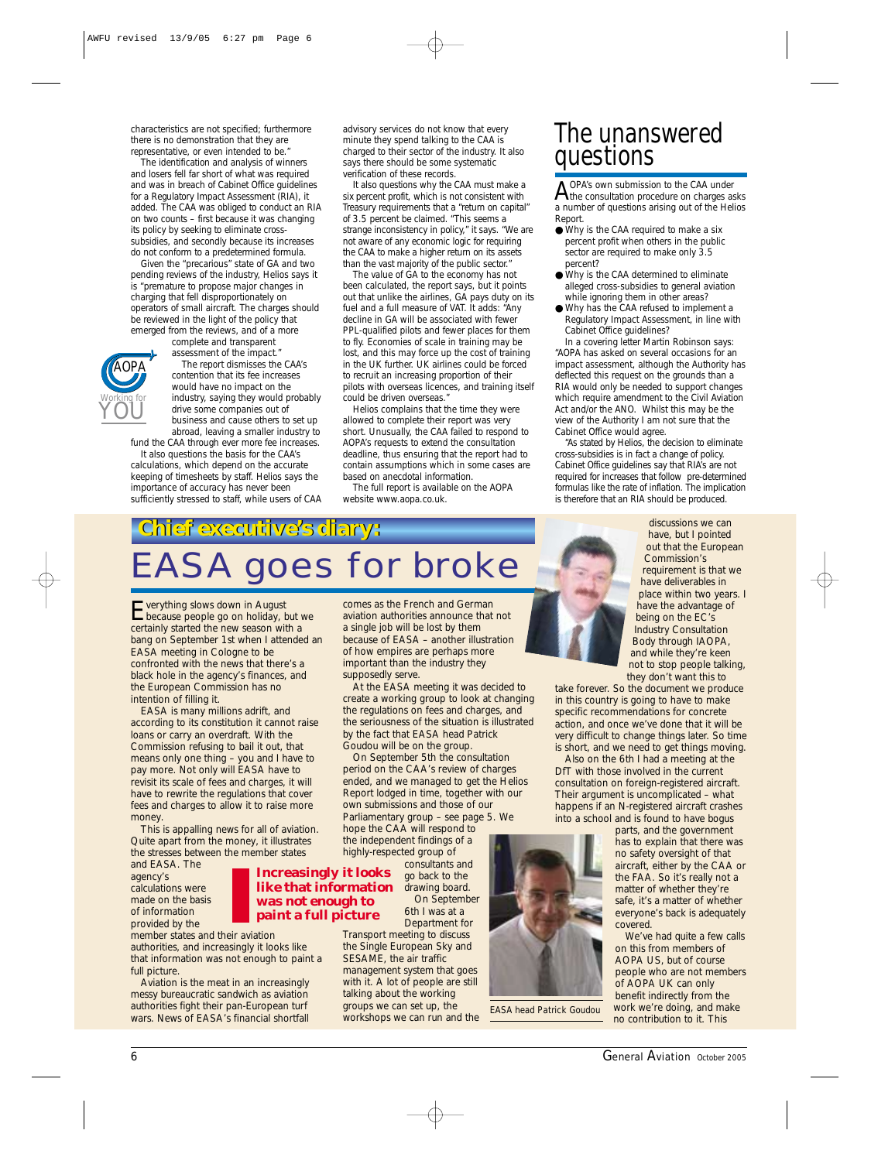characteristics are not specified; furthermore there is no demonstration that they are representative, or even intended to be.

The identification and analysis of winners and losers fell far short of what was required and was in breach of Cabinet Office guidelines for a Regulatory Impact Assessment (RIA), it added. The CAA was obliged to conduct an RIA on two counts – first because it was changing its policy by seeking to eliminate crosssubsidies, and secondly because its increases do not conform to a predetermined formula.

Given the "precarious" state of GA and two pending reviews of the industry, Helios says it is "premature to propose major changes in charging that fell disproportionately on operators of small aircraft. The charges should be reviewed in the light of the policy that emerged from the reviews, and of a more

complete and transparent assessment of the impact.



The report dismisses the CAA's contention that its fee increases would have no impact on the industry, saying they would probably drive some companies out of business and cause others to set up abroad, leaving a smaller industry to

fund the CAA through ever more fee increases. It also questions the basis for the CAA's calculations, which depend on the accurate keeping of timesheets by staff. Helios says the

importance of accuracy has never been sufficiently stressed to staff, while users of CAA advisory services do not know that every minute they spend talking to the CAA is charged to their sector of the industry. It also says there should be some systematic verification of these records.

It also questions why the CAA must make a six percent profit, which is not consistent with Treasury requirements that a "return on capital" of 3.5 percent be claimed. "This seems a strange inconsistency in policy," it says. "We are not aware of any economic logic for requiring the CAA to make a higher return on its assets than the vast majority of the public sector.

The value of GA to the economy has not been calculated, the report says, but it points out that unlike the airlines, GA pays duty on its fuel and a full measure of VAT. It adds: "Any decline in GA will be associated with fewer PPL-qualified pilots and fewer places for them to fly. Economies of scale in training may be lost, and this may force up the cost of training in the UK further. UK airlines could be forced to recruit an increasing proportion of their pilots with overseas licences, and training itself could be driven overseas."

Helios complains that the time they were allowed to complete their report was very short. Unusually, the CAA failed to respond to AOPA's requests to extend the consultation deadline, thus ensuring that the report had to contain assumptions which in some cases are based on anecdotal information.

The full report is available on the AOPA website www.aopa.co.uk.

#### The unanswered questions

 $A$  OPA's own submission to the CAA under<br>the consultation procedure on charges asks a number of questions arising out of the Helios Report.

- Why is the CAA required to make a six percent profit when others in the public sector are required to make only 3.5 percent?
- Why is the CAA determined to eliminate alleged cross-subsidies to general aviation while ignoring them in other areas?
- Why has the CAA refused to implement a Regulatory Impact Assessment, in line with Cabinet Office guidelines?

In a covering letter Martin Robinson says: "AOPA has asked on several occasions for an impact assessment, although the Authority has deflected this request on the grounds than a RIA would only be needed to support changes which require amendment to the Civil Aviation Act and/or the ANO. Whilst this may be the view of the Authority I am not sure that the Cabinet Office would agree.

"As stated by Helios, the decision to eliminate cross-subsidies is in fact a change of policy. Cabinet Office guidelines say that RIA's are not required for increases that follow pre-determined formulas like the rate of inflation. The implication is therefore that an RIA should be produced.

**Chief executive's diary: Chief executive's diary:** *EASA goes for broke*

Everything slows down in August because people go on holiday, but we certainly started the new season with a bang on September 1st when I attended an EASA meeting in Cologne to be confronted with the news that there's a black hole in the agency's finances, and the European Commission has no intention of filling it.

EASA is many millions adrift, and according to its constitution it cannot raise loans or carry an overdraft. With the Commission refusing to bail it out, that means only one thing – you and I have to pay more. Not only will EASA have to revisit its scale of fees and charges, it will have to rewrite the regulations that cover fees and charges to allow it to raise more money

This is appalling news for all of aviation. Quite apart from the money, it illustrates the stresses between the member states

and EASA. The agency's calculations were made on the basis of information provided by the

member states and their aviation authorities, and increasingly it looks like that information was not enough to paint a full picture.

Aviation is the meat in an increasingly messy bureaucratic sandwich as aviation authorities fight their pan-European turf wars. News of EASA's financial shortfall comes as the French and German aviation authorities announce that not a single job will be lost by them because of EASA – another illustration of how empires are perhaps more important than the industry they supposedly serve.

At the EASA meeting it was decided to create a working group to look at changing the regulations on fees and charges, and the seriousness of the situation is illustrated by the fact that EASA head Patrick Goudou will be on the group.

On September 5th the consultation period on the CAA's review of charges ended, and we managed to get the Helios Report lodged in time, together with our own submissions and those of our Parliamentary group – see page 5. We hope the CAA will respond to the independent findings of a highly-respected group of consultants and

go back to the drawing board. On September 6th I was at a

Transport meeting to discuss the Single European Sky and SESAME, the air traffic management system that goes with it. A lot of people are still

*EASA head Patrick Goudou*

discussions we can have, but I pointed out that the European Commission's requirement is that we have deliverables in place within two years. I have the advantage of being on the EC's Industry Consultation Body through IAOPA, and while they're keen not to stop people talking, they don't want this to

take forever. So the document we produce in this country is going to have to make specific recommendations for concrete action, and once we've done that it will be very difficult to change things later. So time is short, and we need to get things moving.

Also on the 6th I had a meeting at the DfT with those involved in the current consultation on foreign-registered aircraft. Their argument is uncomplicated – what happens if an N-registered aircraft crashes into a school and is found to have bogus

parts, and the government has to explain that there was no safety oversight of that aircraft, either by the CAA or the FAA. So it's really not a matter of whether they're safe, it's a matter of whether everyone's back is adequately covered.

We've had quite a few calls on this from members of AOPA US, but of course people who are not members of AOPA UK can only benefit indirectly from the work we're doing, and make no contribution to it. This





Department for talking about the working

groups we can set up, the workshops we can run and the

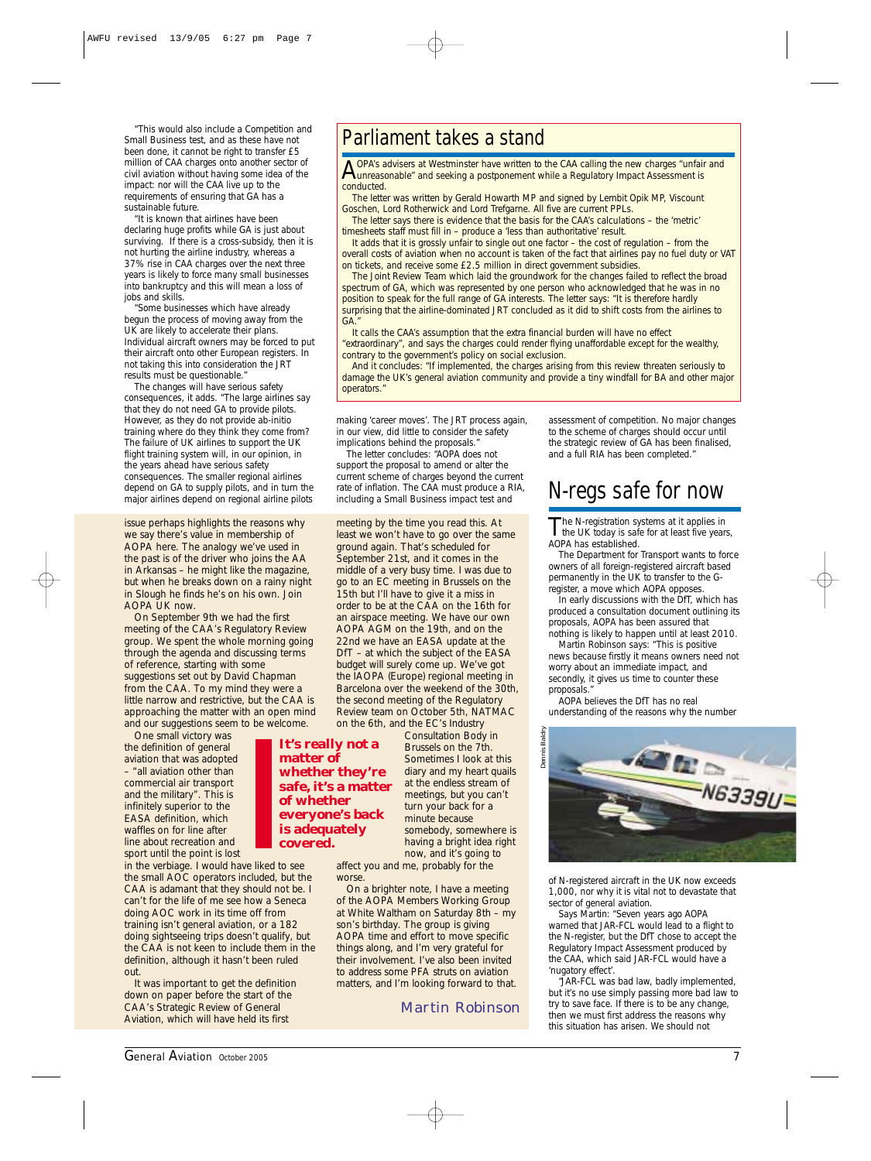"This would also include a Competition and Small Business test, and as these have not been done, it cannot be right to transfer £5 million of CAA charges onto another sector of civil aviation without having some idea of the impact: nor will the CAA live up to the requirements of ensuring that GA has a sustainable future.

"It is known that airlines have been declaring huge profits while GA is just about surviving. If there is a cross-subsidy, then it is not hurting the airline industry, whereas a 37% rise in CAA charges over the next three years is likely to force many small businesses into bankruptcy and this will mean a loss of jobs and skills.

"Some businesses which have already begun the process of moving away from the UK are likely to accelerate their plans. Individual aircraft owners may be forced to put their aircraft onto other European registers. In not taking this into consideration the JRT results must be questionable."

The changes will have serious safety consequences, it adds. "The large airlines say that they do not need GA to provide pilots. However, as they do not provide ab-initio training where do they think they come from? The failure of UK airlines to support the UK flight training system will, in our opinion, in the years ahead have serious safety consequences. The smaller regional airlines depend on GA to supply pilots, and in turn the major airlines depend on regional airline pilots

issue perhaps highlights the reasons why we say there's value in membership of AOPA here. The analogy we've used in the past is of the driver who joins the AA in Arkansas – he might like the magazine, but when he breaks down on a rainy night in Slough he finds he's on his own. Join AOPA UK now.

On September 9th we had the first meeting of the CAA's Regulatory Review group. We spent the whole morning going through the agenda and discussing terms of reference, starting with some suggestions set out by David Chapman from the CAA. To my mind they were a little narrow and restrictive, but the CAA is approaching the matter with an open mind and our suggestions seem to be welcome.

One small victory was the definition of general aviation that was adopted – "all aviation other than commercial air transport and the military". This is infinitely superior to the EASA definition, which waffles on for line after line about recreation and sport until the point is lost

in the verbiage. I would have liked to see the small AOC operators included, but the CAA is adamant that they should not be. I can't for the life of me see how a Seneca doing AOC work in its time off from training isn't general aviation, or a 182 doing sightseeing trips doesn't qualify, but the CAA is not keen to include them in the definition, although it hasn't been ruled out.

It was important to get the definition down on paper before the start of the CAA's Strategic Review of General Aviation, which will have held its first

#### Parliament takes a stand

A OPA's advisers at Westminster have written to the CAA calling the new charges "unfair and<br>unreasonable" and seeking a postponement while a Regulatory Impact Assessment is conducted.

The letter was written by Gerald Howarth MP and signed by Lembit Opik MP, Viscount Goschen, Lord Rotherwick and Lord Trefgarne. All five are current PPLs.

The letter says there is evidence that the basis for the CAA's calculations – the 'metric' timesheets staff must fill in – produce a 'less than authoritative' result.

It adds that it is grossly unfair to single out one factor – the cost of regulation – from the overall costs of aviation when no account is taken of the fact that airlines pay no fuel duty or VAT on tickets, and receive some £2.5 million in direct government subsidies.

The Joint Review Team which laid the groundwork for the changes failed to reflect the broad spectrum of GA, which was represented by one person who acknowledged that he was in no position to speak for the full range of GA interests. The letter says: "It is therefore hardly surprising that the airline-dominated JRT concluded as it did to shift costs from the airlines to GA."

It calls the CAA's assumption that the extra financial burden will have no effect "extraordinary", and says the charges could render flying unaffordable except for the wealthy, contrary to the government's policy on social exclusion.

And it concludes: "If implemented, the charges arising from this review threaten seriously to damage the UK's general aviation community and provide a tiny windfall for BA and other major operators."

making 'career moves'. The JRT process again, in our view, did little to consider the safety implications behind the proposals.

The letter concludes: "AOPA does not support the proposal to amend or alter the current scheme of charges beyond the current rate of inflation. The CAA must produce a RIA, including a Small Business impact test and

meeting by the time you read this. At least we won't have to go over the same ground again. That's scheduled for September 21st, and it comes in the middle of a very busy time. I was due to go to an EC meeting in Brussels on the 15th but I'll have to give it a miss in order to be at the CAA on the 16th for an airspace meeting. We have our own AOPA AGM on the 19th, and on the 22nd we have an EASA update at the DfT – at which the subject of the EASA budget will surely come up. We've got the IAOPA (Europe) regional meeting in Barcelona over the weekend of the 30th, the second meeting of the Regulatory Review team on October 5th, NATMAC on the 6th, and the EC's Industry

**It's really not a matter of whether they're safe, it's a matter of whether everyone's back is adequately covered.**

Sometimes I look at this diary and my heart quails at the endless stream of meetings, but you can't turn your back for a minute because somebody, somewhere is having a bright idea right now, and it's going to

Consultation Body in Brussels on the 7th.

affect you and me, probably for the worse.

On a brighter note, I have a meeting of the AOPA Members Working Group at White Waltham on Saturday 8th – my son's birthday. The group is giving AOPA time and effort to move specific things along, and I'm very grateful for their involvement. I've also been invited to address some PFA struts on aviation matters, and I'm looking forward to that.

Martin Robinson

assessment of competition. No major changes to the scheme of charges should occur until the strategic review of GA has been finalised, and a full RIA has been completed."

#### N-regs safe for now

The N-registration systems at it applies in<br>the UK today is safe for at least five years, AOPA has established.

The Department for Transport wants to force owners of all foreign-registered aircraft based permanently in the UK to transfer to the Gregister, a move which AOPA opposes.

In early discussions with the DfT, which has produced a consultation document outlining its proposals, AOPA has been assured that nothing is likely to happen until at least 2010.

Martin Robinson says: "This is positive news because firstly it means owners need not worry about an immediate impact, and secondly, it gives us time to counter these proposals."

AOPA believes the DfT has no real understanding of the reasons why the number



of N-registered aircraft in the UK now exceeds 1,000, nor why it is vital not to devastate that sector of general aviation.

Says Martin: "Seven years ago AOPA warned that JAR-FCL would lead to a flight to the N-register, but the DfT chose to accept the Regulatory Impact Assessment produced by the CAA, which said JAR-FCL would have a 'nugatory effect'.

"JAR-FCL was bad law, badly implemented, but it's no use simply passing more bad law to try to save face. If there is to be any change, then we must first address the reasons why this situation has arisen. We should not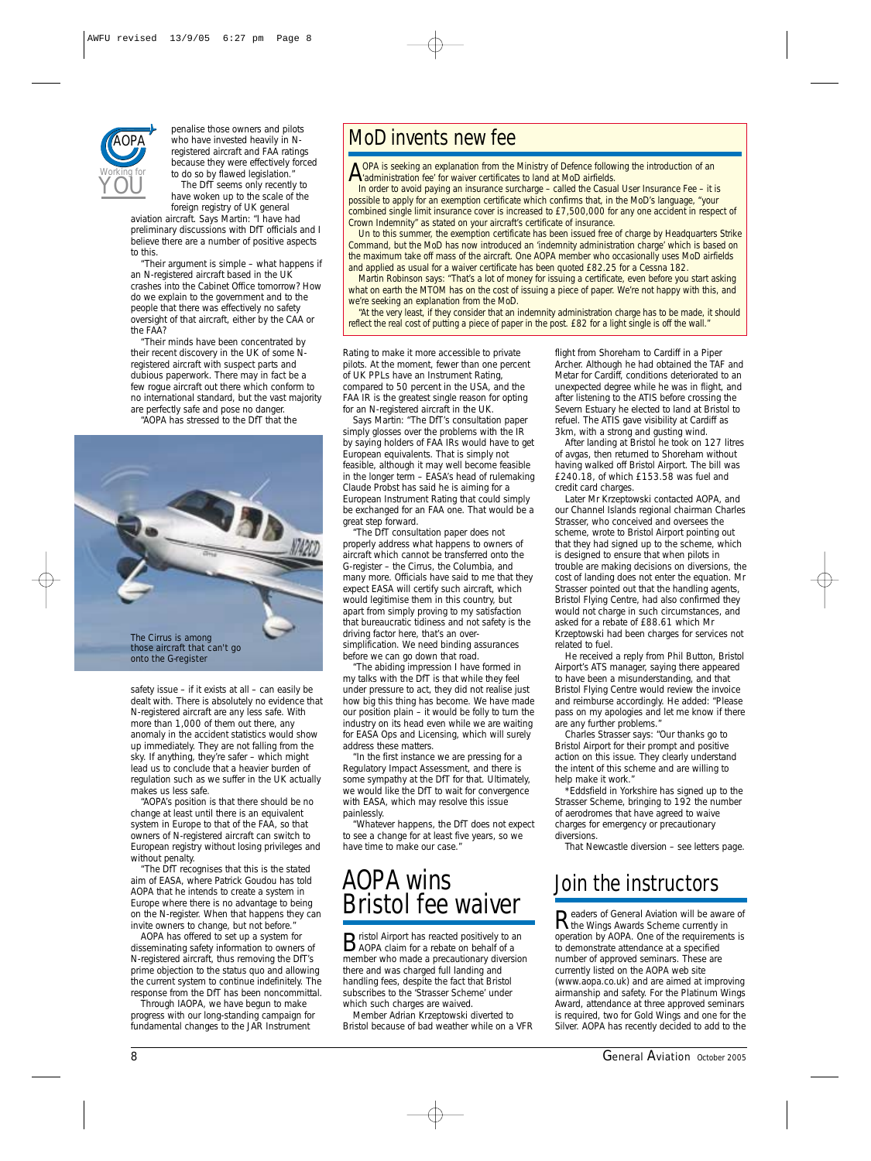

penalise those owners and pilots who have invested heavily in Nregistered aircraft and FAA ratings because they were effectively forced to do so by flawed legislation. The DfT seems only recently to

have woken up to the scale of the foreign registry of UK general

aviation aircraft. Says Martin: "I have had preliminary discussions with DfT officials and I believe there are a number of positive aspects to this.

"Their argument is simple – what happens if an N-registered aircraft based in the UK crashes into the Cabinet Office tomorrow? How do we explain to the government and to the people that there was effectively no safety oversight of that aircraft, either by the CAA or the FAA?

"Their minds have been concentrated by their recent discovery in the UK of some Nregistered aircraft with suspect parts and dubious paperwork. There may in fact be a few rogue aircraft out there which conform to no international standard, but the vast majority are perfectly safe and pose no danger.

"AOPA has stressed to the DfT that the



safety issue – if it exists at all – can easily be dealt with. There is absolutely no evidence that N-registered aircraft are any less safe. With more than 1,000 of them out there, any anomaly in the accident statistics would show up immediately. They are not falling from the sky. If anything, they're safer – which might lead us to conclude that a heavier burden of regulation such as we suffer in the UK actually makes us less safe.

"AOPA's position is that there should be no change at least until there is an equivalent system in Europe to that of the FAA, so that owners of N-registered aircraft can switch to European registry without losing privileges and without penalty.

"The DfT recognises that this is the stated aim of EASA, where Patrick Goudou has told AOPA that he intends to create a system in Europe where there is no advantage to being on the N-register. When that happens they can invite owners to change, but not before."

AOPA has offered to set up a system for disseminating safety information to owners of N-registered aircraft, thus removing the DfT's prime objection to the status quo and allowing the current system to continue indefinitely. The response from the DfT has been noncommittal.

Through IAOPA, we have begun to make progress with our long-standing campaign for fundamental changes to the JAR Instrument

#### MoD invents new fee

A OPA is seeking an explanation from the Ministry of Defence following the introduction of an administration fee' for waiver certificates to land at MoD airfields.

In order to avoid paying an insurance surcharge – called the Casual User Insurance Fee – it is possible to apply for an exemption certificate which confirms that, in the MoD's language, "your combined single limit insurance cover is increased to £7,500,000 for any one accident in respect of Crown Indemnity" as stated on your aircraft's certificate of insurance.

Un to this summer, the exemption certificate has been issued free of charge by Headquarters Strike Command, but the MoD has now introduced an 'indemnity administration charge' which is based on the maximum take off mass of the aircraft. One AOPA member who occasionally uses MoD airfields and applied as usual for a waiver certificate has been quoted £82.25 for a Cessna 182.

Martin Robinson says: "That's a lot of money for issuing a certificate, even before you start asking what on earth the MTOM has on the cost of issuing a piece of paper. We're not happy with this, and we're seeking an explanation from the MoD.

"At the very least, if they consider that an indemnity administration charge has to be made, it should reflect the real cost of putting a piece of paper in the post. £82 for a light single is off the wall.

Rating to make it more accessible to private pilots. At the moment, fewer than one percent of UK PPLs have an Instrument Rating, compared to 50 percent in the USA, and the FAA IR is the greatest single reason for opting for an N-registered aircraft in the UK.

Says Martin: "The DfT's consultation paper simply glosses over the problems with the IR by saying holders of FAA IRs would have to get European equivalents. That is simply not feasible, although it may well become feasible in the longer term – EASA's head of rulemaking Claude Probst has said he is aiming for a European Instrument Rating that could simply be exchanged for an FAA one. That would be a great step forward.

"The DfT consultation paper does not properly address what happens to owners of aircraft which cannot be transferred onto the G-register – the Cirrus, the Columbia, and many more. Officials have said to me that they expect EASA will certify such aircraft, which would legitimise them in this country, but apart from simply proving to my satisfaction that bureaucratic tidiness and not safety is the driving factor here, that's an oversimplification. We need binding assurances before we can go down that road.

"The abiding impression I have formed in my talks with the DfT is that while they feel under pressure to act, they did not realise just how big this thing has become. We have made our position plain – it would be folly to turn the industry on its head even while we are waiting for EASA Ops and Licensing, which will surely address these matters.

"In the first instance we are pressing for a Regulatory Impact Assessment, and there is some sympathy at the DfT for that. Ultimately, we would like the DfT to wait for convergence with EASA, which may resolve this issue painlessly.

"Whatever happens, the DfT does not expect to see a change for at least five years, so we have time to make our case."

#### AOPA wins Bristol fee waiver

Bristol Airport has reacted positively to an AOPA claim for a rebate on behalf of a member who made a precautionary diversion there and was charged full landing and handling fees, despite the fact that Bristol subscribes to the 'Strasser Scheme' under which such charges are waived.

Member Adrian Krzeptowski diverted to Bristol because of bad weather while on a VFR flight from Shoreham to Cardiff in a Piper Archer. Although he had obtained the TAF and Metar for Cardiff, conditions deteriorated to an unexpected degree while he was in flight, and after listening to the ATIS before crossing the Severn Estuary he elected to land at Bristol to refuel. The ATIS gave visibility at Cardiff as 3km, with a strong and gusting wind.

After landing at Bristol he took on 127 litres of avgas, then returned to Shoreham without having walked off Bristol Airport. The bill was £240.18, of which £153.58 was fuel and credit card charges.

Later Mr Krzeptowski contacted AOPA, and our Channel Islands regional chairman Charles Strasser, who conceived and oversees the scheme, wrote to Bristol Airport pointing out that they had signed up to the scheme, which is designed to ensure that when pilots in trouble are making decisions on diversions, the cost of landing does not enter the equation. Mr Strasser pointed out that the handling agents, Bristol Flying Centre, had also confirmed they would not charge in such circumstances, and asked for a rebate of £88.61 which Mr Krzeptowski had been charges for services not related to fuel.

He received a reply from Phil Button, Bristol Airport's ATS manager, saying there appeared to have been a misunderstanding, and that Bristol Flying Centre would review the invoice and reimburse accordingly. He added: "Please pass on my apologies and let me know if there are any further problems."

Charles Strasser says: "Our thanks go to Bristol Airport for their prompt and positive action on this issue. They clearly understand the intent of this scheme and are willing to help make it work."

\*Eddsfield in Yorkshire has signed up to the Strasser Scheme, bringing to 192 the number of aerodromes that have agreed to waive charges for emergency or precautionary diversions.

*That Newcastle diversion – see letters page.*

#### Join the instructors

**Readers of** *General Aviation* will be aware of<br>the Wings Awards Scheme currently in operation by AOPA. One of the requirements is to demonstrate attendance at a specified number of approved seminars. These are currently listed on the AOPA web site (www.aopa.co.uk) and are aimed at improving airmanship and safety. For the Platinum Wings Award, attendance at three approved seminars is required, two for Gold Wings and one for the Silver. AOPA has recently decided to add to the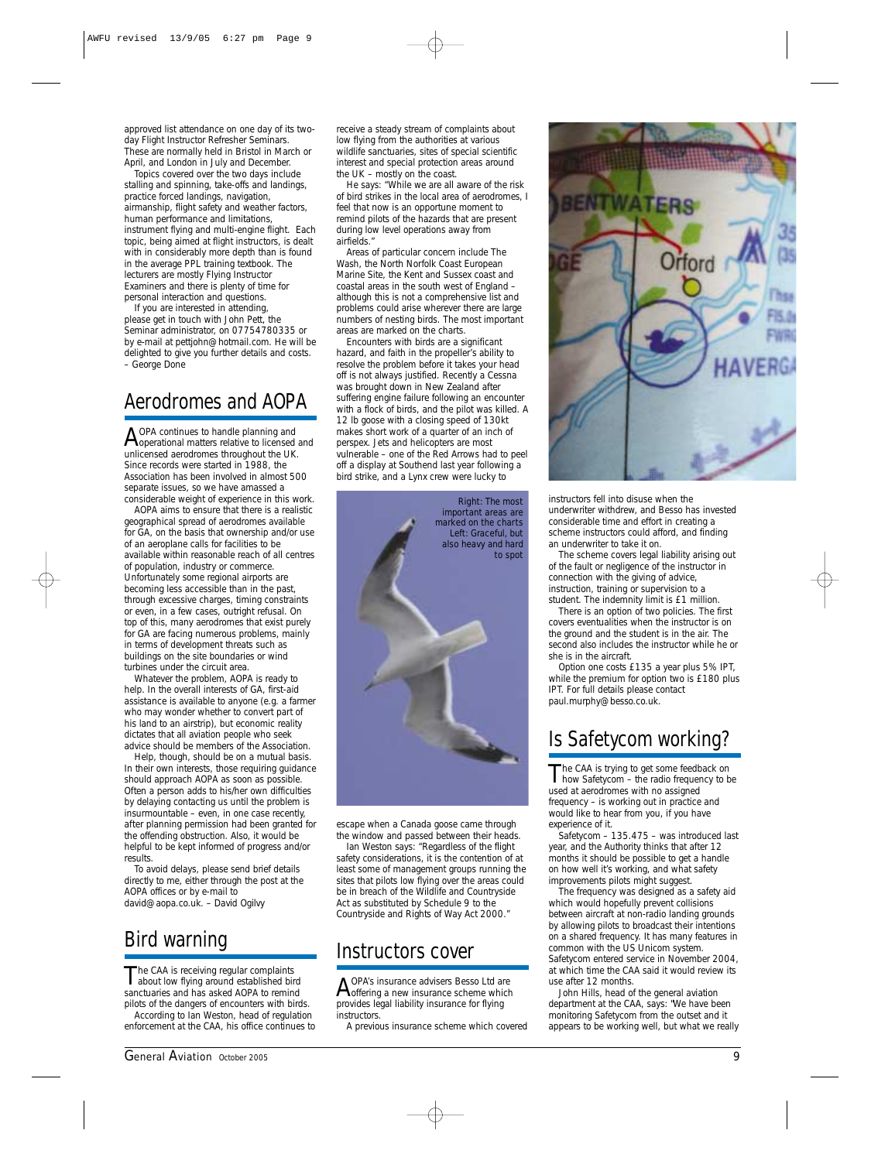approved list attendance on one day of its twoday Flight Instructor Refresher Seminars. These are normally held in Bristol in March or April, and London in July and December.

Topics covered over the two days include stalling and spinning, take-offs and landings, practice forced landings, navigation, airmanship, flight safety and weather factors, human performance and limitations, instrument flying and multi-engine flight. Each topic, being aimed at flight instructors, is dealt with in considerably more depth than is found in the average PPL training textbook. The lecturers are mostly Flying Instructor Examiners and there is plenty of time for personal interaction and questions.

If you are interested in attending, please get in touch with John Pett, the Seminar administrator, on 07754780335 or by e-mail at pettjohn@hotmail.com. He will be delighted to give you further details and costs. – *George Done*

#### Aerodromes and AOPA

A OPA continues to handle planning and<br>Apperational matters relative to licensed and unlicensed aerodromes throughout the UK. Since records were started in 1988, the Association has been involved in almost 500 separate issues, so we have amassed a considerable weight of experience in this work.

AOPA aims to ensure that there is a realistic geographical spread of aerodromes available for GA, on the basis that ownership and/or use of an aeroplane calls for facilities to be available within reasonable reach of all centres of population, industry or commerce. Unfortunately some regional airports are becoming less accessible than in the past, through excessive charges, timing constraints or even, in a few cases, outright refusal. On top of this, many aerodromes that exist purely for GA are facing numerous problems, mainly in terms of development threats such as buildings on the site boundaries or wind turbines under the circuit area.

Whatever the problem, AOPA is ready to help. In the overall interests of GA, *first-aid assistance* is available to anyone (e.g. a farmer who may wonder whether to convert part of his land to an airstrip), but economic reality dictates that all aviation people who seek advice should be members of the Association.

Help, though, should be on a mutual basis. In their own interests, those requiring guidance should approach AOPA as soon as possible. Often a person adds to his/her own difficulties by delaying contacting us until the problem is insurmountable – even, in one case recently, *after* planning permission had been granted for the offending obstruction. Also, it would be helpful to be kept informed of progress and/or results.

To avoid delays, please send brief details directly to me, either through the post at the AOPA offices or by e-mail to david@aopa.co.uk. – *David Ogilvy*

#### Bird warning

The CAA is receiving regular complaints<br>about low flying around established bird sanctuaries and has asked AOPA to remind pilots of the dangers of encounters with birds. According to Ian Weston, head of regulation enforcement at the CAA, his office continues to

receive a steady stream of complaints about low flying from the authorities at various wildlife sanctuaries, sites of special scientific interest and special protection areas around the UK – mostly on the coast.

He says: "While we are all aware of the risk of bird strikes in the local area of aerodromes, I feel that now is an opportune moment to remind pilots of the hazards that are present during low level operations away from airfields."

Areas of particular concern include The Wash, the North Norfolk Coast European Marine Site, the Kent and Sussex coast and coastal areas in the south west of England – although this is not a comprehensive list and problems could arise wherever there are large numbers of nesting birds. The most important areas are marked on the charts.

Encounters with birds are a significant hazard, and faith in the propeller's ability to resolve the problem before it takes your head off is not always justified. Recently a Cessna was brought down in New Zealand after suffering engine failure following an encounter with a flock of birds, and the pilot was killed. A 12 lb goose with a closing speed of 130kt makes short work of a quarter of an inch of perspex. Jets and helicopters are most vulnerable – one of the Red Arrows had to peel off a display at Southend last year following a bird strike, and a Lynx crew were lucky to



escape when a Canada goose came through the window and passed between their heads.

Ian Weston says: "Regardless of the flight safety considerations, it is the contention of at least some of management groups running the sites that pilots low flying over the areas could be in breach of the Wildlife and Countryside Act as substituted by Schedule 9 to the Countryside and Rights of Way Act 2000."

#### Instructors cover

AOPA's insurance advisers Besso Ltd are<br>
offering a new insurance scheme which provides legal liability insurance for flying **instructors** 

A previous insurance scheme which covered



instructors fell into disuse when the underwriter withdrew, and Besso has invested considerable time and effort in creating a scheme instructors could afford, and finding an underwriter to take it on.

The scheme covers legal liability arising out of the fault or negligence of the instructor in connection with the giving of advice, instruction, training or supervision to a student. The indemnity limit is £1 million.

There is an option of two policies. The first covers eventualities when the instructor is on the ground and the student is in the air. The second also includes the instructor while he or she is in the aircraft.

Option one costs £135 a year plus 5% IPT, while the premium for option two is £180 plus IPT. For full details please contact paul.murphy@besso.co.uk.

#### Is Safetycom working?

The CAA is trying to get some feedback on<br>how Safetycom – the radio frequency to be used at aerodromes with no assigned frequency – is working out in practice and would like to hear from you, if you have experience of it.

Safetycom – 135.475 – was introduced last year, and the Authority thinks that after 12 months it should be possible to get a handle on how well it's working, and what safety improvements pilots might suggest.

The frequency was designed as a safety aid which would hopefully prevent collisions between aircraft at non-radio landing grounds by allowing pilots to broadcast their intentions on a shared frequency. It has many features in common with the US Unicom system. Safetycom entered service in November 2004, at which time the CAA said it would review its use after 12 months.

John Hills, head of the general aviation department at the CAA, says: "We have been monitoring Safetycom from the outset and it appears to be working well, but what we really